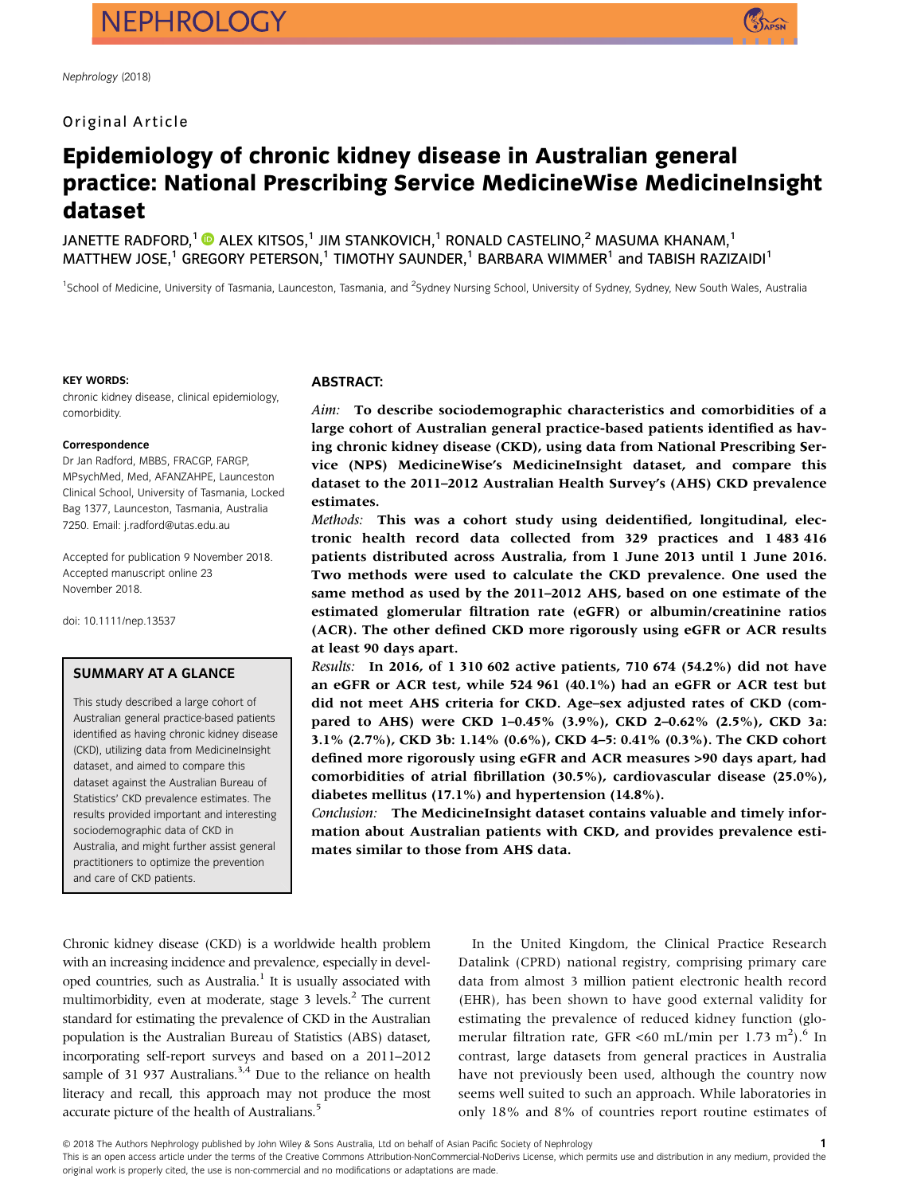# Original Article



# Epidemiology of chronic kidney disease in Australian general practice: National Prescribing Service MedicineWise MedicineInsight dataset

JANETTE RADFORD,<sup>1</sup>  $\bullet$  ALEX KITSOS,<sup>1</sup> JIM STANKOVICH,<sup>1</sup> RONALD CASTELINO,<sup>2</sup> MASUMA KHANAM,<sup>1</sup> MATTHEW JOSE,<sup>1</sup> GREGORY PETERSON,<sup>1</sup> TIMOTHY SAUNDER,<sup>1</sup> BARBARA WIMMER<sup>1</sup> and TABISH RAZIZAIDI<sup>1</sup>

<sup>1</sup>School of Medicine, University of Tasmania, Launceston, Tasmania, and <sup>2</sup>Sydney Nursing School, University of Sydney, Sydney, New South Wales, Australia

#### KEY WORDS:

chronic kidney disease, clinical epidemiology, comorbidity.

#### Correspondence

Dr Jan Radford, MBBS, FRACGP, FARGP, MPsychMed, Med, AFANZAHPE, Launceston Clinical School, University of Tasmania, Locked Bag 1377, Launceston, Tasmania, Australia 7250. Email: [j.radford@utas.edu.au](mailto:j.radford@utas.edu.au)

Accepted for publication 9 November 2018. Accepted manuscript online 23 November 2018.

doi: 10.1111/nep.13537

#### SUMMARY AT A GLANCE

This study described a large cohort of Australian general practice-based patients identified as having chronic kidney disease (CKD), utilizing data from MedicineInsight dataset, and aimed to compare this dataset against the Australian Bureau of Statistics' CKD prevalence estimates. The results provided important and interesting sociodemographic data of CKD in Australia, and might further assist general practitioners to optimize the prevention and care of CKD patients.

### ABSTRACT:

Aim: To describe sociodemographic characteristics and comorbidities of a large cohort of Australian general practice-based patients identified as having chronic kidney disease (CKD), using data from National Prescribing Service (NPS) MedicineWise's MedicineInsight dataset, and compare this dataset to the 2011–2012 Australian Health Survey's (AHS) CKD prevalence estimates.

Methods: This was a cohort study using deidentified, longitudinal, electronic health record data collected from 329 practices and 1 483 416 patients distributed across Australia, from 1 June 2013 until 1 June 2016. Two methods were used to calculate the CKD prevalence. One used the same method as used by the 2011–2012 AHS, based on one estimate of the estimated glomerular filtration rate (eGFR) or albumin/creatinine ratios (ACR). The other defined CKD more rigorously using eGFR or ACR results at least 90 days apart.

Results: In 2016, of 1 310 602 active patients, 710 674 (54.2%) did not have an eGFR or ACR test, while 524 961 (40.1%) had an eGFR or ACR test but did not meet AHS criteria for CKD. Age–sex adjusted rates of CKD (compared to AHS) were CKD 1–0.45% (3.9%), CKD 2–0.62% (2.5%), CKD 3a: 3.1% (2.7%), CKD 3b: 1.14% (0.6%), CKD 4–5: 0.41% (0.3%). The CKD cohort defined more rigorously using eGFR and ACR measures >90 days apart, had comorbidities of atrial fibrillation (30.5%), cardiovascular disease (25.0%), diabetes mellitus (17.1%) and hypertension (14.8%).

Conclusion: The MedicineInsight dataset contains valuable and timely information about Australian patients with CKD, and provides prevalence estimates similar to those from AHS data.

Chronic kidney disease (CKD) is a worldwide health problem with an increasing incidence and prevalence, especially in developed countries, such as Australia.<sup>1</sup> It is usually associated with multimorbidity, even at moderate, stage  $3$  levels.<sup>2</sup> The current standard for estimating the prevalence of CKD in the Australian population is the Australian Bureau of Statistics (ABS) dataset, incorporating self-report surveys and based on a 2011–2012 sample of 31 937 Australians.<sup>3,4</sup> Due to the reliance on health literacy and recall, this approach may not produce the most accurate picture of the health of Australians.<sup>5</sup>

In the United Kingdom, the Clinical Practice Research Datalink (CPRD) national registry, comprising primary care data from almost 3 million patient electronic health record (EHR), has been shown to have good external validity for estimating the prevalence of reduced kidney function (glomerular filtration rate, GFR <60 mL/min per 1.73 m<sup>2</sup>).<sup>6</sup> In contrast, large datasets from general practices in Australia have not previously been used, although the country now seems well suited to such an approach. While laboratories in only 18% and 8% of countries report routine estimates of

1

This is an open access article under the terms of the [Creative Commons Attribution-NonCommercial-NoDerivs](http://creativecommons.org/licenses/by-nc-nd/4.0/) License, which permits use and distribution in any medium, provided the original work is properly cited, the use is non-commercial and no modifications or adaptations are made.

<sup>© 2018</sup> The Authors Nephrology published by John Wiley & Sons Australia, Ltd on behalf of Asian Pacific Society of Nephrology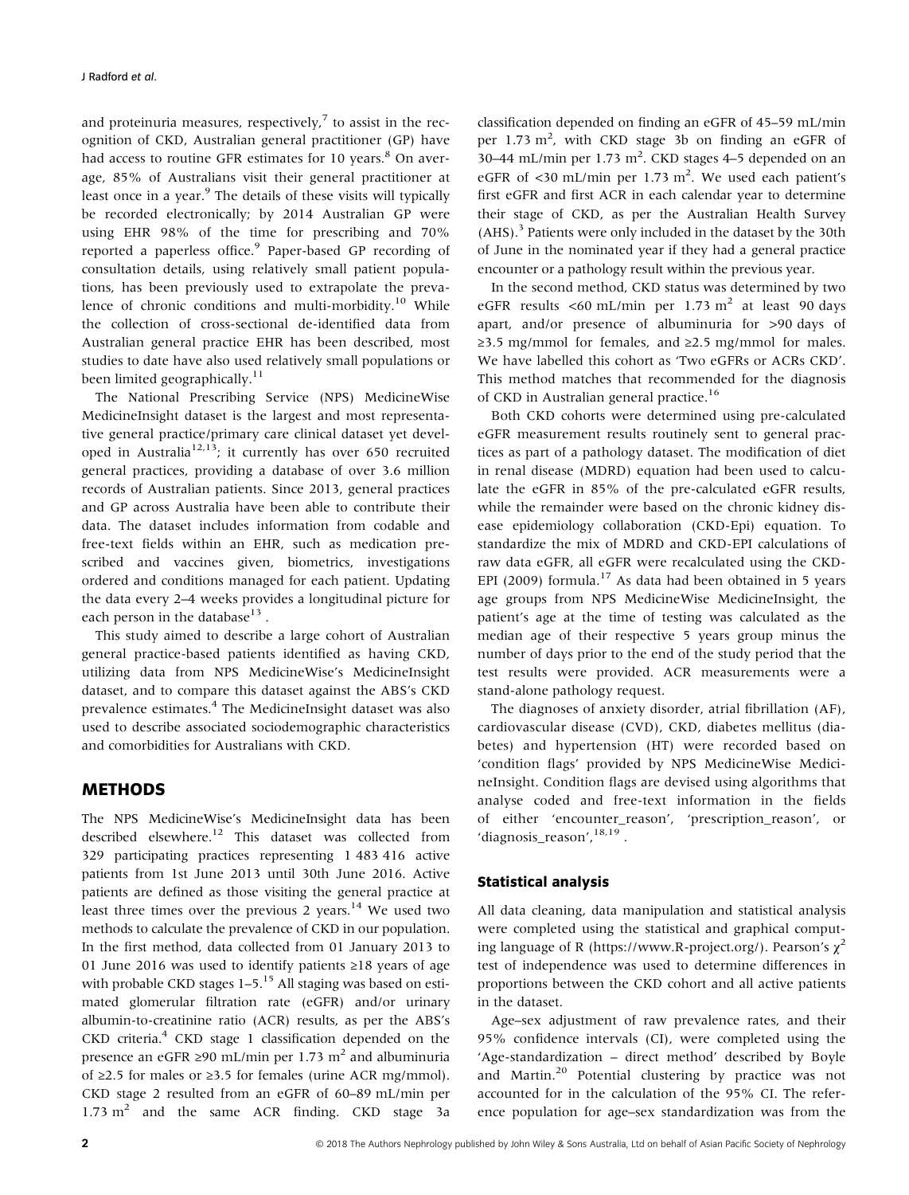and proteinuria measures, respectively, $7$  to assist in the recognition of CKD, Australian general practitioner (GP) have had access to routine GFR estimates for 10 years.<sup>8</sup> On average, 85% of Australians visit their general practitioner at least once in a year.<sup>9</sup> The details of these visits will typically be recorded electronically; by 2014 Australian GP were using EHR 98% of the time for prescribing and 70% reported a paperless office.<sup>9</sup> Paper-based GP recording of consultation details, using relatively small patient populations, has been previously used to extrapolate the prevalence of chronic conditions and multi-morbidity.<sup>10</sup> While the collection of cross-sectional de-identified data from Australian general practice EHR has been described, most studies to date have also used relatively small populations or been limited geographically.<sup>11</sup>

The National Prescribing Service (NPS) MedicineWise MedicineInsight dataset is the largest and most representative general practice/primary care clinical dataset yet developed in Australia<sup>12,13</sup>; it currently has over 650 recruited general practices, providing a database of over 3.6 million records of Australian patients. Since 2013, general practices and GP across Australia have been able to contribute their data. The dataset includes information from codable and free-text fields within an EHR, such as medication prescribed and vaccines given, biometrics, investigations ordered and conditions managed for each patient. Updating the data every 2–4 weeks provides a longitudinal picture for each person in the database $^{13}$ .

This study aimed to describe a large cohort of Australian general practice-based patients identified as having CKD, utilizing data from NPS MedicineWise's MedicineInsight dataset, and to compare this dataset against the ABS's CKD prevalence estimates.<sup>4</sup> The MedicineInsight dataset was also used to describe associated sociodemographic characteristics and comorbidities for Australians with CKD.

# METHODS

The NPS MedicineWise's MedicineInsight data has been described elsewhere.<sup>12</sup> This dataset was collected from 329 participating practices representing 1 483 416 active patients from 1st June 2013 until 30th June 2016. Active patients are defined as those visiting the general practice at least three times over the previous 2 years. $14$  We used two methods to calculate the prevalence of CKD in our population. In the first method, data collected from 01 January 2013 to 01 June 2016 was used to identify patients ≥18 years of age with probable CKD stages  $1-5$ .<sup>15</sup> All staging was based on estimated glomerular filtration rate (eGFR) and/or urinary albumin-to-creatinine ratio (ACR) results, as per the ABS's CKD criteria.4 CKD stage 1 classification depended on the presence an eGFR ≥90 mL/min per 1.73 m<sup>2</sup> and albuminuria of ≥2.5 for males or ≥3.5 for females (urine ACR mg/mmol). CKD stage 2 resulted from an eGFR of 60–89 mL/min per  $1.73 \text{ m}^2$  and the same ACR finding. CKD stage 3a

classification depended on finding an eGFR of 45–59 mL/min per 1.73 m<sup>2</sup>, with CKD stage 3b on finding an eGFR of 30–44 mL/min per  $1.73 \text{ m}^2$ . CKD stages 4–5 depended on an eGFR of <30 mL/min per 1.73 m<sup>2</sup>. We used each patient's first eGFR and first ACR in each calendar year to determine their stage of CKD, as per the Australian Health Survey (AHS).3 Patients were only included in the dataset by the 30th of June in the nominated year if they had a general practice encounter or a pathology result within the previous year.

In the second method, CKD status was determined by two eGFR results <60 mL/min per  $1.73 \text{ m}^2$  at least 90 days apart, and/or presence of albuminuria for >90 days of  $\geq$ 3.5 mg/mmol for females, and  $\geq$ 2.5 mg/mmol for males. We have labelled this cohort as 'Two eGFRs or ACRs CKD'. This method matches that recommended for the diagnosis of CKD in Australian general practice.16

Both CKD cohorts were determined using pre-calculated eGFR measurement results routinely sent to general practices as part of a pathology dataset. The modification of diet in renal disease (MDRD) equation had been used to calculate the eGFR in 85% of the pre-calculated eGFR results, while the remainder were based on the chronic kidney disease epidemiology collaboration (CKD-Epi) equation. To standardize the mix of MDRD and CKD-EPI calculations of raw data eGFR, all eGFR were recalculated using the CKD-EPI (2009) formula.<sup>17</sup> As data had been obtained in 5 years age groups from NPS MedicineWise MedicineInsight, the patient's age at the time of testing was calculated as the median age of their respective 5 years group minus the number of days prior to the end of the study period that the test results were provided. ACR measurements were a stand-alone pathology request.

The diagnoses of anxiety disorder, atrial fibrillation (AF), cardiovascular disease (CVD), CKD, diabetes mellitus (diabetes) and hypertension (HT) were recorded based on 'condition flags' provided by NPS MedicineWise MedicineInsight. Condition flags are devised using algorithms that analyse coded and free-text information in the fields of either 'encounter\_reason', 'prescription\_reason', or 'diagnosis\_reason', 18,19.

## Statistical analysis

All data cleaning, data manipulation and statistical analysis were completed using the statistical and graphical computing language of R ([https://www.R-project.org/\)](https://www.r-project.org/). Pearson's  $\chi^2$ test of independence was used to determine differences in proportions between the CKD cohort and all active patients in the dataset.

Age–sex adjustment of raw prevalence rates, and their 95% confidence intervals (CI), were completed using the 'Age-standardization – direct method' described by Boyle and Martin.<sup>20</sup> Potential clustering by practice was not accounted for in the calculation of the 95% CI. The reference population for age–sex standardization was from the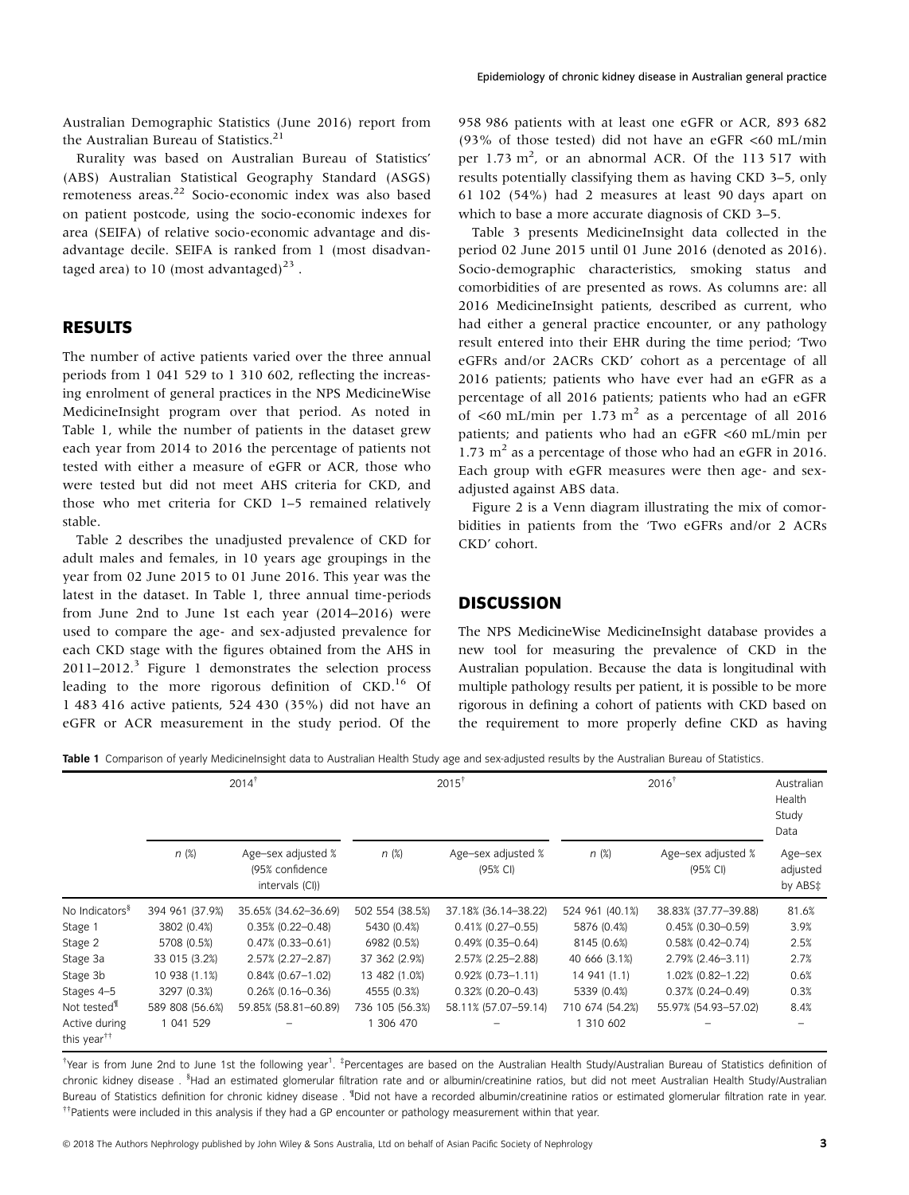Australian Demographic Statistics (June 2016) report from the Australian Bureau of Statistics.<sup>21</sup>

Rurality was based on Australian Bureau of Statistics' (ABS) Australian Statistical Geography Standard (ASGS) remoteness areas.<sup>22</sup> Socio-economic index was also based on patient postcode, using the socio-economic indexes for area (SEIFA) of relative socio-economic advantage and disadvantage decile. SEIFA is ranked from 1 (most disadvantaged area) to 10 (most advantaged)<sup>23</sup>.

# RESULTS

The number of active patients varied over the three annual periods from 1 041 529 to 1 310 602, reflecting the increasing enrolment of general practices in the NPS MedicineWise MedicineInsight program over that period. As noted in Table 1, while the number of patients in the dataset grew each year from 2014 to 2016 the percentage of patients not tested with either a measure of eGFR or ACR, those who were tested but did not meet AHS criteria for CKD, and those who met criteria for CKD 1–5 remained relatively stable.

Table 2 describes the unadjusted prevalence of CKD for adult males and females, in 10 years age groupings in the year from 02 June 2015 to 01 June 2016. This year was the latest in the dataset. In Table 1, three annual time-periods from June 2nd to June 1st each year (2014–2016) were used to compare the age- and sex-adjusted prevalence for each CKD stage with the figures obtained from the AHS in  $2011-2012$ <sup>3</sup> Figure 1 demonstrates the selection process leading to the more rigorous definition of CKD.<sup>16</sup> Of 1 483 416 active patients, 524 430 (35%) did not have an eGFR or ACR measurement in the study period. Of the

958 986 patients with at least one eGFR or ACR, 893 682 (93% of those tested) did not have an eGFR  $\lt 60$  mL/min per  $1.73 \text{ m}^2$ , or an abnormal ACR. Of the 113 517 with results potentially classifying them as having CKD 3–5, only 61 102 (54%) had 2 measures at least 90 days apart on which to base a more accurate diagnosis of CKD 3–5.

Table 3 presents MedicineInsight data collected in the period 02 June 2015 until 01 June 2016 (denoted as 2016). Socio-demographic characteristics, smoking status and comorbidities of are presented as rows. As columns are: all 2016 MedicineInsight patients, described as current, who had either a general practice encounter, or any pathology result entered into their EHR during the time period; 'Two eGFRs and/or 2ACRs CKD' cohort as a percentage of all 2016 patients; patients who have ever had an eGFR as a percentage of all 2016 patients; patients who had an eGFR of  $\leq 60$  mL/min per 1.73 m<sup>2</sup> as a percentage of all 2016 patients; and patients who had an eGFR <60 mL/min per 1.73  $m<sup>2</sup>$  as a percentage of those who had an eGFR in 2016. Each group with eGFR measures were then age- and sexadjusted against ABS data.

Figure 2 is a Venn diagram illustrating the mix of comorbidities in patients from the 'Two eGFRs and/or 2 ACRs CKD' cohort.

## **DISCUSSION**

The NPS MedicineWise MedicineInsight database provides a new tool for measuring the prevalence of CKD in the Australian population. Because the data is longitudinal with multiple pathology results per patient, it is possible to be more rigorous in defining a cohort of patients with CKD based on the requirement to more properly define CKD as having

Table 1 Comparison of yearly MedicineInsight data to Australian Health Study age and sex-adjusted results by the Australian Bureau of Statistics.

|                                          |                 | $2014^{\dagger}$                                         |                 | $2015^{\dagger}$               |                 | $2016^{\dagger}$               | Australian<br>Health<br>Study<br>Data |
|------------------------------------------|-----------------|----------------------------------------------------------|-----------------|--------------------------------|-----------------|--------------------------------|---------------------------------------|
|                                          | n(x)            | Age-sex adjusted %<br>(95% confidence<br>intervals (CI)) | n(x)            | Age-sex adjusted %<br>(95% CI) | $n(\%)$         | Age-sex adjusted %<br>(95% CI) | Age-sex<br>adjusted<br>by ABS‡        |
| No Indicators <sup>§</sup>               | 394 961 (37.9%) | 35.65% (34.62-36.69)                                     | 502 554 (38.5%) | 37.18% (36.14-38.22)           | 524 961 (40.1%) | 38.83% (37.77-39.88)           | 81.6%                                 |
| Stage 1                                  | 3802 (0.4%)     | $0.35\%$ (0.22-0.48)                                     | 5430 (0.4%)     | $0.41\%$ (0.27-0.55)           | 5876 (0.4%)     | $0.45\%$ (0.30-0.59)           | 3.9%                                  |
| Stage 2                                  | 5708 (0.5%)     | $0.47\%$ (0.33-0.61)                                     | 6982 (0.5%)     | $0.49\%$ (0.35-0.64)           | 8145 (0.6%)     | $0.58\%$ (0.42-0.74)           | 2.5%                                  |
| Stage 3a                                 | 33 015 (3.2%)   | $2.57\%$ (2.27-2.87)                                     | 37 362 (2.9%)   | 2.57% (2.25-2.88)              | 40 666 (3.1%)   | 2.79% (2.46-3.11)              | 2.7%                                  |
| Stage 3b                                 | 10 938 (1.1%)   | $0.84\%$ (0.67-1.02)                                     | 13 482 (1.0%)   | $0.92\%$ (0.73-1.11)           | 14 941 (1.1)    | 1.02% (0.82-1.22)              | 0.6%                                  |
| Stages 4-5                               | 3297 (0.3%)     | $0.26\%$ (0.16-0.36)                                     | 4555 (0.3%)     | $0.32\%$ (0.20-0.43)           | 5339 (0.4%)     | $0.37\%$ (0.24-0.49)           | 0.3%                                  |
| Not tested <sup>'ll</sup>                | 589 808 (56.6%) | 59.85% (58.81-60.89)                                     | 736 105 (56.3%) | 58.11% (57.07-59.14)           | 710 674 (54.2%) | 55.97% (54.93-57.02)           | 8.4%                                  |
| Active during<br>this year <sup>††</sup> | 1 041 529       |                                                          | 306 470         |                                | 1 310 602       |                                |                                       |

thear is from June 2nd to June 1st the following year<sup>1</sup>. <sup>‡</sup>Percentages are based on the Australian Health Study/Australian Bureau of Statistics definition of chronic kidney disease . <sup>§</sup>Had an estimated glomerular filtration rate and or albumin/creatinine ratios, but did not meet Australian Health Study/Australian Bureau of Statistics definition for chronic kidney disease . <sup>II</sup>Did not have a recorded albumin/creatinine ratios or estimated glomerular filtration rate in year. ††Patients were included in this analysis if they had a GP encounter or pathology measurement within that year.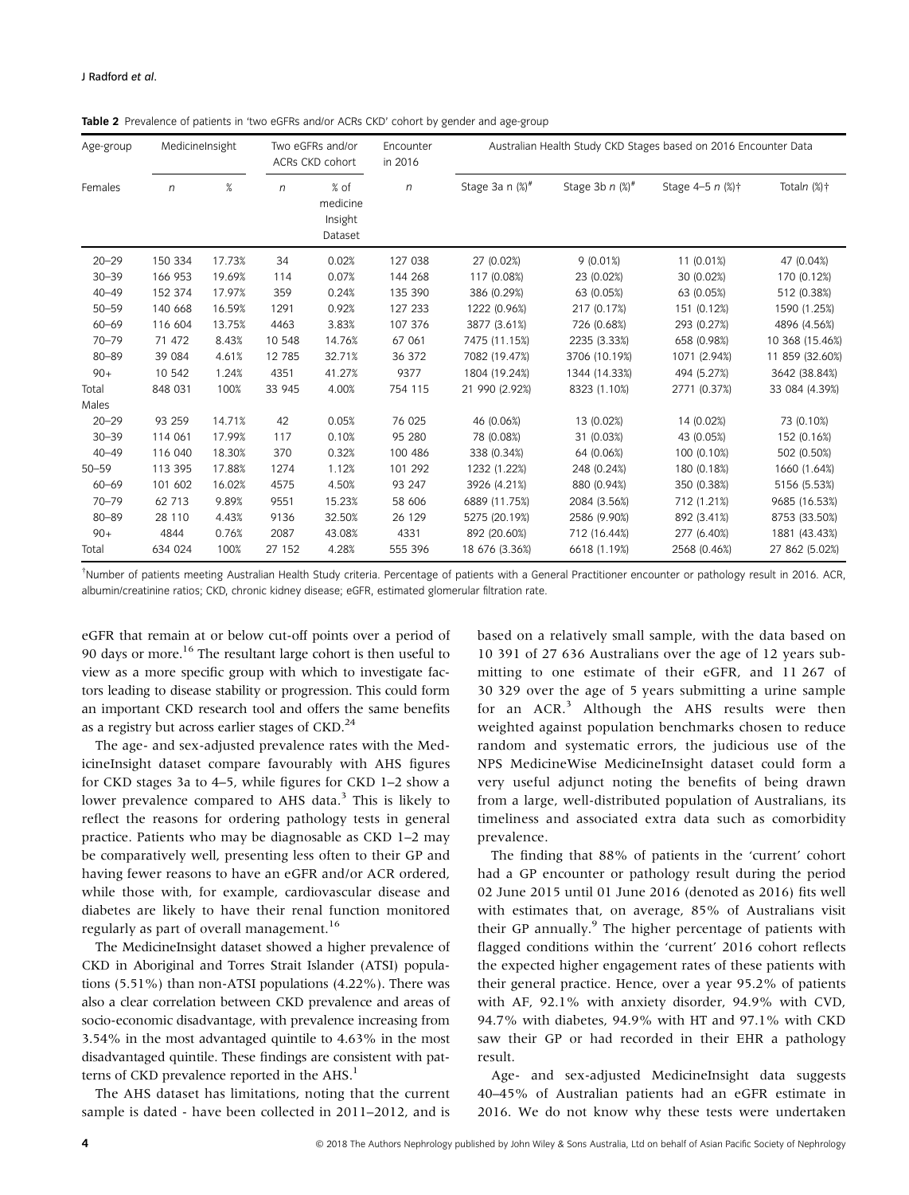| Age-group | MedicineInsight |        |              | Two eGFRs and/or<br>ACRs CKD cohort    | Encounter<br>in 2016 |                        |                               | Australian Health Study CKD Stages based on 2016 Encounter Data |                 |
|-----------|-----------------|--------|--------------|----------------------------------------|----------------------|------------------------|-------------------------------|-----------------------------------------------------------------|-----------------|
| Females   | n               | $\%$   | $\mathsf{n}$ | % of<br>medicine<br>Insight<br>Dataset | n                    | Stage 3a n $(\%)^{\#}$ | Stage 3b $n$ (%) <sup>#</sup> | Stage 4-5 $n$ (%) $\dagger$                                     | Totaln $(\%)$ † |
| $20 - 29$ | 150 334         | 17.73% | 34           | 0.02%                                  | 127 038              | 27 (0.02%)             | 9(0.01%)                      | 11 (0.01%)                                                      | 47 (0.04%)      |
| $30 - 39$ | 166 953         | 19.69% | 114          | 0.07%                                  | 144 268              | 117 (0.08%)            | 23 (0.02%)                    | 30 (0.02%)                                                      | 170 (0.12%)     |
| $40 - 49$ | 152 374         | 17.97% | 359          | 0.24%                                  | 135 390              | 386 (0.29%)            | 63 (0.05%)                    | 63 (0.05%)                                                      | 512 (0.38%)     |
| $50 - 59$ | 140 668         | 16.59% | 1291         | 0.92%                                  | 127 233              | 1222 (0.96%)           | 217 (0.17%)                   | 151 (0.12%)                                                     | 1590 (1.25%)    |
| $60 - 69$ | 116 604         | 13.75% | 4463         | 3.83%                                  | 107 376              | 3877 (3.61%)           | 726 (0.68%)                   | 293 (0.27%)                                                     | 4896 (4.56%)    |
| $70 - 79$ | 71 472          | 8.43%  | 10 548       | 14.76%                                 | 67 061               | 7475 (11.15%)          | 2235 (3.33%)                  | 658 (0.98%)                                                     | 10 368 (15.46%) |
| $80 - 89$ | 39 084          | 4.61%  | 12 785       | 32.71%                                 | 36 372               | 7082 (19.47%)          | 3706 (10.19%)                 | 1071 (2.94%)                                                    | 11 859 (32.60%) |
| $90+$     | 10 542          | 1.24%  | 4351         | 41.27%                                 | 9377                 | 1804 (19.24%)          | 1344 (14.33%)                 | 494 (5.27%)                                                     | 3642 (38.84%)   |
| Total     | 848 031         | 100%   | 33 945       | 4.00%                                  | 754 115              | 21 990 (2.92%)         | 8323 (1.10%)                  | 2771 (0.37%)                                                    | 33 084 (4.39%)  |
| Males     |                 |        |              |                                        |                      |                        |                               |                                                                 |                 |
| $20 - 29$ | 93 259          | 14.71% | 42           | 0.05%                                  | 76 025               | 46 (0.06%)             | 13 (0.02%)                    | 14 (0.02%)                                                      | 73 (0.10%)      |
| $30 - 39$ | 114 061         | 17.99% | 117          | 0.10%                                  | 95 280               | 78 (0.08%)             | 31 (0.03%)                    | 43 (0.05%)                                                      | 152 (0.16%)     |
| $40 - 49$ | 116 040         | 18.30% | 370          | 0.32%                                  | 100 486              | 338 (0.34%)            | 64 (0.06%)                    | 100 (0.10%)                                                     | 502 (0.50%)     |
| $50 - 59$ | 113 395         | 17.88% | 1274         | 1.12%                                  | 101 292              | 1232 (1.22%)           | 248 (0.24%)                   | 180 (0.18%)                                                     | 1660 (1.64%)    |
| $60 - 69$ | 101 602         | 16.02% | 4575         | 4.50%                                  | 93 247               | 3926 (4.21%)           | 880 (0.94%)                   | 350 (0.38%)                                                     | 5156 (5.53%)    |
| $70 - 79$ | 62 713          | 9.89%  | 9551         | 15.23%                                 | 58 606               | 6889 (11.75%)          | 2084 (3.56%)                  | 712 (1.21%)                                                     | 9685 (16.53%)   |
| $80 - 89$ | 28 110          | 4.43%  | 9136         | 32.50%                                 | 26 129               | 5275 (20.19%)          | 2586 (9.90%)                  | 892 (3.41%)                                                     | 8753 (33.50%)   |
| $90+$     | 4844            | 0.76%  | 2087         | 43.08%                                 | 4331                 | 892 (20.60%)           | 712 (16.44%)                  | 277 (6.40%)                                                     | 1881 (43.43%)   |
| Total     | 634 024         | 100%   | 27 152       | 4.28%                                  | 555 396              | 18 676 (3.36%)         | 6618 (1.19%)                  | 2568 (0.46%)                                                    | 27 862 (5.02%)  |

Table 2 Prevalence of patients in 'two eGFRs and/or ACRs CKD' cohort by gender and age-group

† Number of patients meeting Australian Health Study criteria. Percentage of patients with a General Practitioner encounter or pathology result in 2016. ACR, albumin/creatinine ratios; CKD, chronic kidney disease; eGFR, estimated glomerular filtration rate.

eGFR that remain at or below cut-off points over a period of 90 days or more.<sup>16</sup> The resultant large cohort is then useful to view as a more specific group with which to investigate factors leading to disease stability or progression. This could form an important CKD research tool and offers the same benefits as a registry but across earlier stages of CKD.<sup>24</sup>

The age- and sex-adjusted prevalence rates with the MedicineInsight dataset compare favourably with AHS figures for CKD stages 3a to 4–5, while figures for CKD 1–2 show a lower prevalence compared to AHS data.<sup>3</sup> This is likely to reflect the reasons for ordering pathology tests in general practice. Patients who may be diagnosable as CKD 1–2 may be comparatively well, presenting less often to their GP and having fewer reasons to have an eGFR and/or ACR ordered, while those with, for example, cardiovascular disease and diabetes are likely to have their renal function monitored regularly as part of overall management.<sup>16</sup>

The MedicineInsight dataset showed a higher prevalence of CKD in Aboriginal and Torres Strait Islander (ATSI) populations (5.51%) than non-ATSI populations (4.22%). There was also a clear correlation between CKD prevalence and areas of socio-economic disadvantage, with prevalence increasing from 3.54% in the most advantaged quintile to 4.63% in the most disadvantaged quintile. These findings are consistent with patterns of CKD prevalence reported in the  $A$ HS.<sup>1</sup>

The AHS dataset has limitations, noting that the current sample is dated - have been collected in 2011–2012, and is

based on a relatively small sample, with the data based on 10 391 of 27 636 Australians over the age of 12 years submitting to one estimate of their eGFR, and 11 267 of 30 329 over the age of 5 years submitting a urine sample for an ACR.<sup>3</sup> Although the AHS results were then weighted against population benchmarks chosen to reduce random and systematic errors, the judicious use of the NPS MedicineWise MedicineInsight dataset could form a very useful adjunct noting the benefits of being drawn from a large, well-distributed population of Australians, its timeliness and associated extra data such as comorbidity prevalence.

The finding that 88% of patients in the 'current' cohort had a GP encounter or pathology result during the period 02 June 2015 until 01 June 2016 (denoted as 2016) fits well with estimates that, on average, 85% of Australians visit their GP annually.<sup>9</sup> The higher percentage of patients with flagged conditions within the 'current' 2016 cohort reflects the expected higher engagement rates of these patients with their general practice. Hence, over a year 95.2% of patients with AF, 92.1% with anxiety disorder, 94.9% with CVD, 94.7% with diabetes, 94.9% with HT and 97.1% with CKD saw their GP or had recorded in their EHR a pathology result.

Age- and sex-adjusted MedicineInsight data suggests 40–45% of Australian patients had an eGFR estimate in 2016. We do not know why these tests were undertaken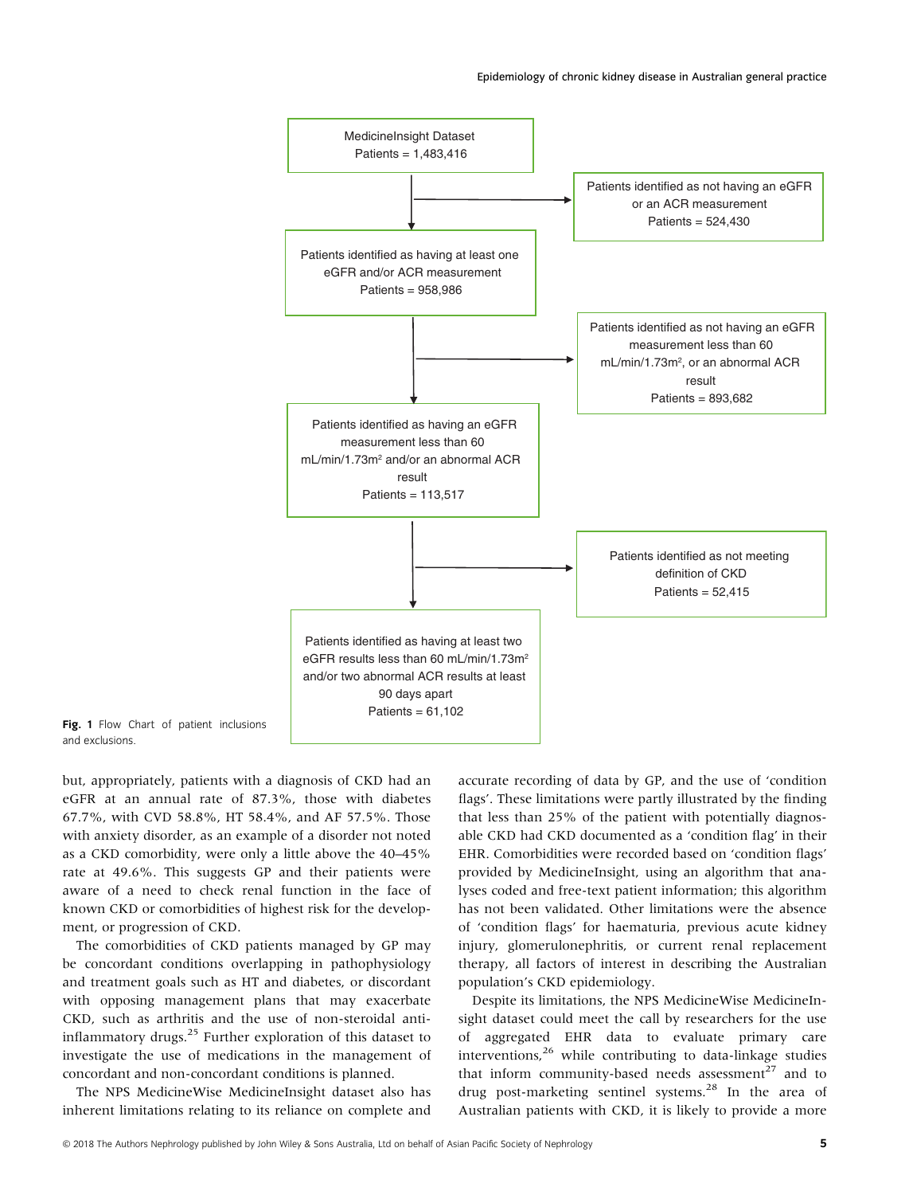

Fig. 1 Flow Chart of patient inclusions and exclusions.

but, appropriately, patients with a diagnosis of CKD had an eGFR at an annual rate of 87.3%, those with diabetes 67.7%, with CVD 58.8%, HT 58.4%, and AF 57.5%. Those with anxiety disorder, as an example of a disorder not noted as a CKD comorbidity, were only a little above the 40–45% rate at 49.6%. This suggests GP and their patients were aware of a need to check renal function in the face of known CKD or comorbidities of highest risk for the development, or progression of CKD.

The comorbidities of CKD patients managed by GP may be concordant conditions overlapping in pathophysiology and treatment goals such as HT and diabetes, or discordant with opposing management plans that may exacerbate CKD, such as arthritis and the use of non-steroidal antiinflammatory drugs.<sup>25</sup> Further exploration of this dataset to investigate the use of medications in the management of concordant and non-concordant conditions is planned.

The NPS MedicineWise MedicineInsight dataset also has inherent limitations relating to its reliance on complete and

accurate recording of data by GP, and the use of 'condition flags'. These limitations were partly illustrated by the finding that less than 25% of the patient with potentially diagnosable CKD had CKD documented as a 'condition flag' in their EHR. Comorbidities were recorded based on 'condition flags' provided by MedicineInsight, using an algorithm that analyses coded and free-text patient information; this algorithm has not been validated. Other limitations were the absence of 'condition flags' for haematuria, previous acute kidney injury, glomerulonephritis, or current renal replacement therapy, all factors of interest in describing the Australian population's CKD epidemiology.

Despite its limitations, the NPS MedicineWise MedicineInsight dataset could meet the call by researchers for the use of aggregated EHR data to evaluate primary care interventions, $26$  while contributing to data-linkage studies that inform community-based needs assessment<sup>27</sup> and to drug post-marketing sentinel systems.<sup>28</sup> In the area of Australian patients with CKD, it is likely to provide a more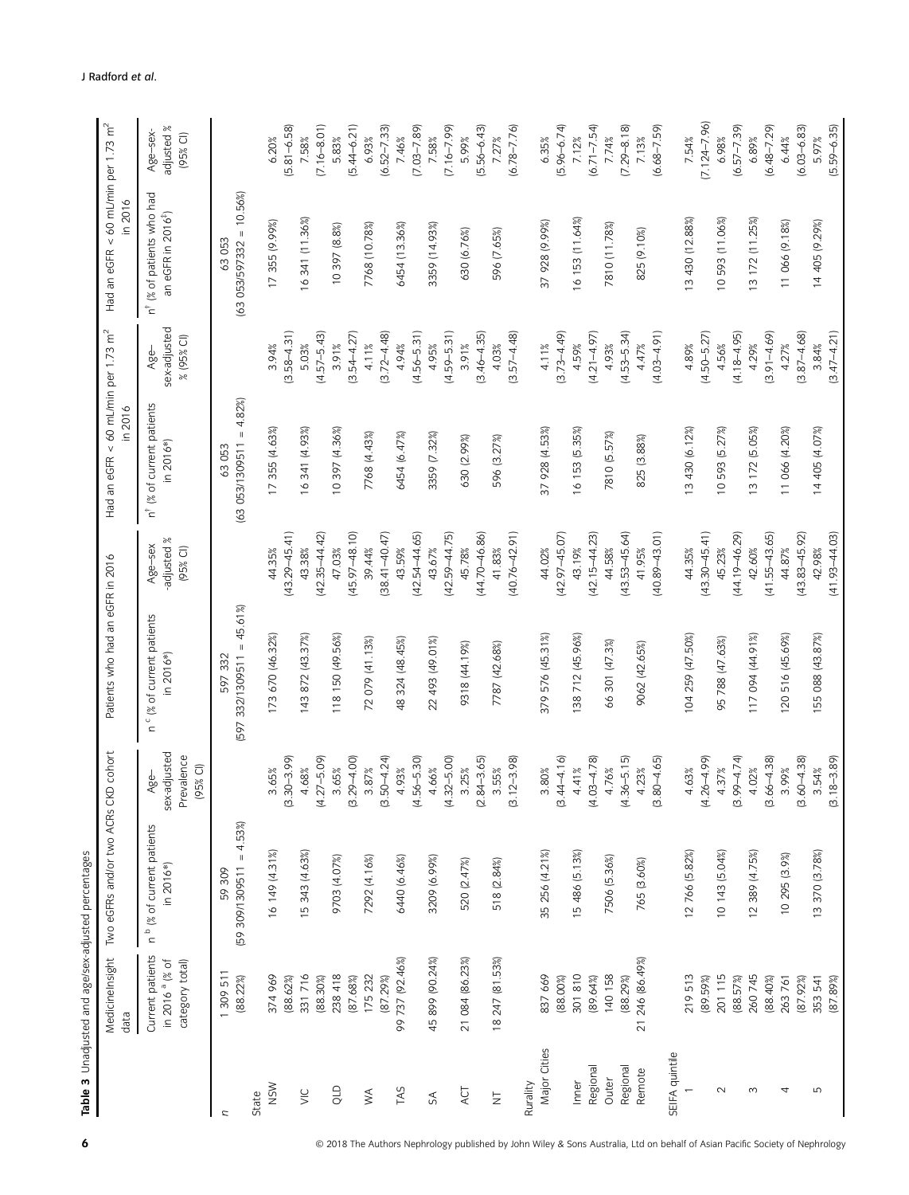|                                                                                                         | Medicinelnsight<br>data                                           | Two eGFRs and/or two ACRs CKD cohort               |                                                  | Patients who had an eGFR in 2016                        |                                     | Had an eGFR < 60 mL/min per 1.73 $m^2$<br>in 2016   |                                    | Had an eGFR < 60 mL/min per 1.73 $m^2$<br>in 2016                       |                                      |
|---------------------------------------------------------------------------------------------------------|-------------------------------------------------------------------|----------------------------------------------------|--------------------------------------------------|---------------------------------------------------------|-------------------------------------|-----------------------------------------------------|------------------------------------|-------------------------------------------------------------------------|--------------------------------------|
|                                                                                                         | Current patients<br>in 2016 <sup>a</sup> (% of<br>category total) | n <sup>b</sup> (% of current patients<br>in 2016*) | sex-adjusted<br>Prevalence<br>$(95%$ CI)<br>Age- | " (% of current patients<br>in 2016*)<br>$\overline{a}$ | adjusted %<br>Age-sex<br>$(95%$ CI) | of current patients<br>in 2016*<br>ž<br>$\vec{a}^*$ | sex-adjusted<br>% (95% CI)<br>Age- | (% of patients who had<br>an eGFR in 2016 <sup>#</sup> )<br>$\vec{a}^*$ | adjusted %<br>Age-sex-<br>$(95%$ CI) |
| n                                                                                                       | 1309 511                                                          | 59 309                                             |                                                  | 597 332                                                 |                                     | 63 053                                              |                                    | 63 053                                                                  |                                      |
| State                                                                                                   | (88.22%)                                                          | $(59 309/1309511 = 4.53%)$                         |                                                  | $332/1309511 = 45.61\%$<br>[597                         |                                     | 4.82%<br>$\parallel$<br>(63 053/1309511             |                                    | $(63$ 053/597332 = 10.56%                                               |                                      |
| <b>NSW</b>                                                                                              | 374 969                                                           | 16 149 (4.31%)                                     | 3.65%                                            | 173 670 (46.32%)                                        | 44.35%                              | 17 355 (4.63%)                                      | 3.94%                              | 17 355 (9.99%)                                                          | 6.20%                                |
|                                                                                                         | (88.62%)                                                          |                                                    | $(3.30 - 3.99)$                                  |                                                         | 43.29-45.41)                        |                                                     | $(3.58 - 4.31)$                    |                                                                         | $(5.81 - 6.58)$                      |
| $\leq$                                                                                                  | 331716                                                            | 15 343 (4.63%)                                     | 4.68%                                            | 143 872 (43.37%)                                        | 43.38%                              | 16 341 (4.93%)                                      | 5.03%                              | 16 341 (11.36%)                                                         | 7.58%                                |
|                                                                                                         | $(88.30\%)$                                                       |                                                    | $(4.27 - 5.09)$                                  |                                                         | $(42.35 - 44.42)$                   |                                                     | $(4.57 - 5.43)$                    |                                                                         | $(7.16 - 8.01)$                      |
| QLD                                                                                                     | 238 418                                                           | 62014.07%                                          | 3.65%                                            | 118 150 (49.56%)                                        | 47.03%                              | 10 397 (4.36%)                                      | 3.91%                              | 10 397 (8.8%)                                                           | 5.83%                                |
|                                                                                                         | (87.68%)                                                          |                                                    | $29 - 4.00$<br>ഇ                                 |                                                         | $(45.97 - 48.10)$                   |                                                     | $(3.54 - 4.27)$                    |                                                                         | $(5.44 - 6.21)$                      |
| $\mathbb{W}^{\mathbb{A}}$                                                                               | 175 232                                                           | 7292 (4.16%)                                       | 3.87%                                            | 72 079 (41.13%                                          | 39.44%                              | 7768 (4.43%)                                        | 4.11%                              | 7768 (10.78%)                                                           | 6.93%                                |
|                                                                                                         | (87.29%)                                                          |                                                    | $(3.50 - 4.24)$                                  |                                                         | $(38.41 - 40.47)$                   |                                                     | $(3.72 - 4.48)$                    |                                                                         | $(6.52 - 7.33)$                      |
| TAS                                                                                                     | 99 737 (92.46%)                                                   | 6440 (6.46%)                                       | 4.93%                                            | 48 324 (48.45%)                                         | 43.59%                              | 6454 (6.47%)                                        | 4.94%                              | 6454 (13.36%)                                                           | 7.46%                                |
|                                                                                                         |                                                                   |                                                    | $(4.56 - 5.30)$                                  |                                                         | $(42.54 - 44.65)$                   |                                                     | $(4.56 - 5.31)$                    |                                                                         | $(7.03 - 7.89)$                      |
| $\mathfrak{S}% _{T}=\mathfrak{S}_{T}\!\left( a,b\right) ,\ \mathfrak{S}_{T}=C_{T}\!\left( a,b\right) ,$ | 45 899 (90.24%)                                                   | 3209 (6.99%)                                       | 4.66%                                            | 22 493 (49.01%)                                         | 43.67%                              | 3359 (7.32%)                                        | 4.95%                              | 3359 (14.93%)                                                           | 7.58%                                |
|                                                                                                         |                                                                   |                                                    | $(4.32 - 5.00)$                                  |                                                         | $(42.59 - 44.75)$                   |                                                     | $(4.59 - 5.31)$                    |                                                                         | $(7.16 - 7.99)$                      |
| ACT                                                                                                     | 21 084 (86.23%)                                                   | 520 (2.47%)                                        | 3.25%                                            | 9318 (44.19%)                                           | 45.78%                              | 630 (2.99%)                                         | 3.91%                              | 630 (6.76%)                                                             | 5.99%                                |
|                                                                                                         |                                                                   |                                                    | $84 - 3.65$<br>$\overline{\mathcal{O}}$          |                                                         | $(44.70 - 46.86)$                   |                                                     | $(3.46 - 4.35)$                    |                                                                         | $[5.56 - 6.43]$                      |
| $\overline{z}$                                                                                          | 18 247 (81.53%)                                                   | 518 (2.84%)                                        | 3.55%                                            | 7787 (42.68%)                                           | 41.83%                              | 596 (3.27%)                                         | 4.03%                              | 596 (7.65%)                                                             | 7.27%                                |
|                                                                                                         |                                                                   |                                                    | $(12 - 3.98)$<br>ି.                              |                                                         | $(40.76 - 42.91)$                   |                                                     | $(3.57 - 4.48)$                    |                                                                         | $(6.78 - 7.76)$                      |
| Rurality                                                                                                |                                                                   |                                                    |                                                  |                                                         |                                     |                                                     |                                    |                                                                         |                                      |
| Major Cities                                                                                            | 837 669                                                           | 35 256 (4.21%)                                     | $3.80\%$                                         | 379 576 (45.31%)                                        | 44.02%                              | 37 928 (4.53%)                                      | 4.11%                              | 37 928 (9.99%)                                                          | 6.35%                                |
|                                                                                                         | $(88.00\%)$                                                       |                                                    | $44 - 4.16$<br>$\overline{\omega}$               |                                                         | $(42.97 - 45.07)$                   |                                                     | $(3.73 - 4.49)$                    |                                                                         | $(5.96 - 6.74)$                      |
| Inner                                                                                                   | 301 810                                                           | 15 486 (5.13%)                                     | 4.41%                                            | 138 712 (45.96%)                                        | 43.19%                              | 16 153 (5.35%)                                      | 4.59%                              | 16 153 (11.64%)                                                         | 7.12%                                |
| Regional                                                                                                | (89.64%)                                                          |                                                    | $(4.03 - 4.78)$                                  |                                                         | $(42.15 - 44.23)$                   |                                                     | $(4.21 - 4.97)$                    |                                                                         | $(6.71 - 7.54)$                      |
| Outer                                                                                                   | 140 158                                                           | 7506 (5.36%)                                       | 4.76%                                            | 66 301 (47.3%                                           | 44.58%                              | 7810 (5.57%)                                        | 4.93%                              | 7810 (11.78%)                                                           | 7.74%                                |
| Regional                                                                                                | (88.29%)                                                          |                                                    | $(4.36 - 5.15)$                                  |                                                         | $(43.53 - 45.64)$                   |                                                     | $(4.53 - 5.34)$                    |                                                                         | $(7.29 - 8.18)$                      |
| Remote                                                                                                  | 246 (86.49%)<br>$\overline{21}$                                   | 765 (3.60%)                                        | 4.23%                                            | 9062 (42.65%)                                           | 41.95%                              | 825 (3.88%)                                         | 4.47%                              | 825 (9.10%)                                                             | 7.13%                                |
|                                                                                                         |                                                                   |                                                    | $80 - 4.65$<br>$\overline{\omega}$               |                                                         | $(40.89 - 43.01)$                   |                                                     | $(4.03 - 4.91)$                    |                                                                         | $(6.68 - 7.59)$                      |
| SEIFA quintile                                                                                          |                                                                   |                                                    |                                                  |                                                         |                                     |                                                     |                                    |                                                                         |                                      |
|                                                                                                         | 219 513                                                           | 12 766 (5.82%)                                     | 4.63%                                            | 104 259 (47.50%                                         | 44.35%                              | 3 430 (6.12%)                                       | 4.89%                              | 13 430 (12.88%)                                                         | 7.54%                                |
|                                                                                                         | (89.59%)                                                          |                                                    | $(4.26 - 4.99)$                                  |                                                         | $(43.30 - 45.41)$                   |                                                     | $(4.50 - 5.27)$                    |                                                                         | $(7.124 - 7.96)$                     |
| $\sim$                                                                                                  | 201 115                                                           | 10 143 (5.04%)                                     | 4.37%                                            | 95 788 (47.63%)                                         | 45.23%                              | 10 593 (5.27%)                                      | 4.56%                              | 10 593 (11.06%)                                                         | 6.98%                                |
|                                                                                                         | (88.57%)                                                          |                                                    | $(3.99 - 4.74)$                                  |                                                         | $(44.19 - 46.29)$                   |                                                     | $(4.18 - 4.95)$                    |                                                                         | $(6.57 - 7.39)$                      |
| $\infty$                                                                                                | 260 745                                                           | 12 389 (4.75%)                                     | 4.02%                                            | 117 094 (44.91%)                                        | 42.60%                              | 13 172 (5.05%)                                      | 4.29%                              | 13 172 (11.25%)                                                         | 6.89%                                |
|                                                                                                         | (88.40%)                                                          |                                                    | $66 - 4.38$<br>$\overline{\omega}$               |                                                         | $(41.55 - 43.65)$                   |                                                     | $(3.91 - 4.69)$                    |                                                                         | $(6.48 - 7.29)$                      |
| 4                                                                                                       | 263761                                                            | 10 295 (3.9%)                                      | 3.99%                                            | 120 516 (45.69%)                                        | 44.87%                              | 11 066 (4.20%)                                      | 4.27%                              | 11 066 (9.18%)                                                          | 6.44%                                |
|                                                                                                         | (87.92%)                                                          |                                                    | $60 - 4.38$<br>ற்                                |                                                         | $(43.83 - 45.92)$                   |                                                     | $(3.87 - 4.68)$                    |                                                                         | $(6.03 - 6.83)$                      |
| LN,                                                                                                     | 353 541                                                           | 13 370 (3.78%)                                     | 3.54%                                            | 155 088 (43.87%)                                        | 42.98%                              | 14 405 (4.07%)                                      | 3.84%                              | 14 405 (9.29%)                                                          | 5.97%                                |
|                                                                                                         | (87.89%)                                                          |                                                    | $(3.18 - 3.89)$                                  |                                                         | $(41.93 - 44.03)$                   |                                                     | $(3.47 - 4.21)$                    |                                                                         | $(5.59 - 6.35)$                      |

6 © 2018 The Authors Nephrology published by John Wiley & Sons Australia, Ltd on behalf of Asian Pacific Society of Nephrology

Table 3 Unadjusted and age/sex-adjusted percentages

Table 3 Unadjusted and age/sex-adjusted percentages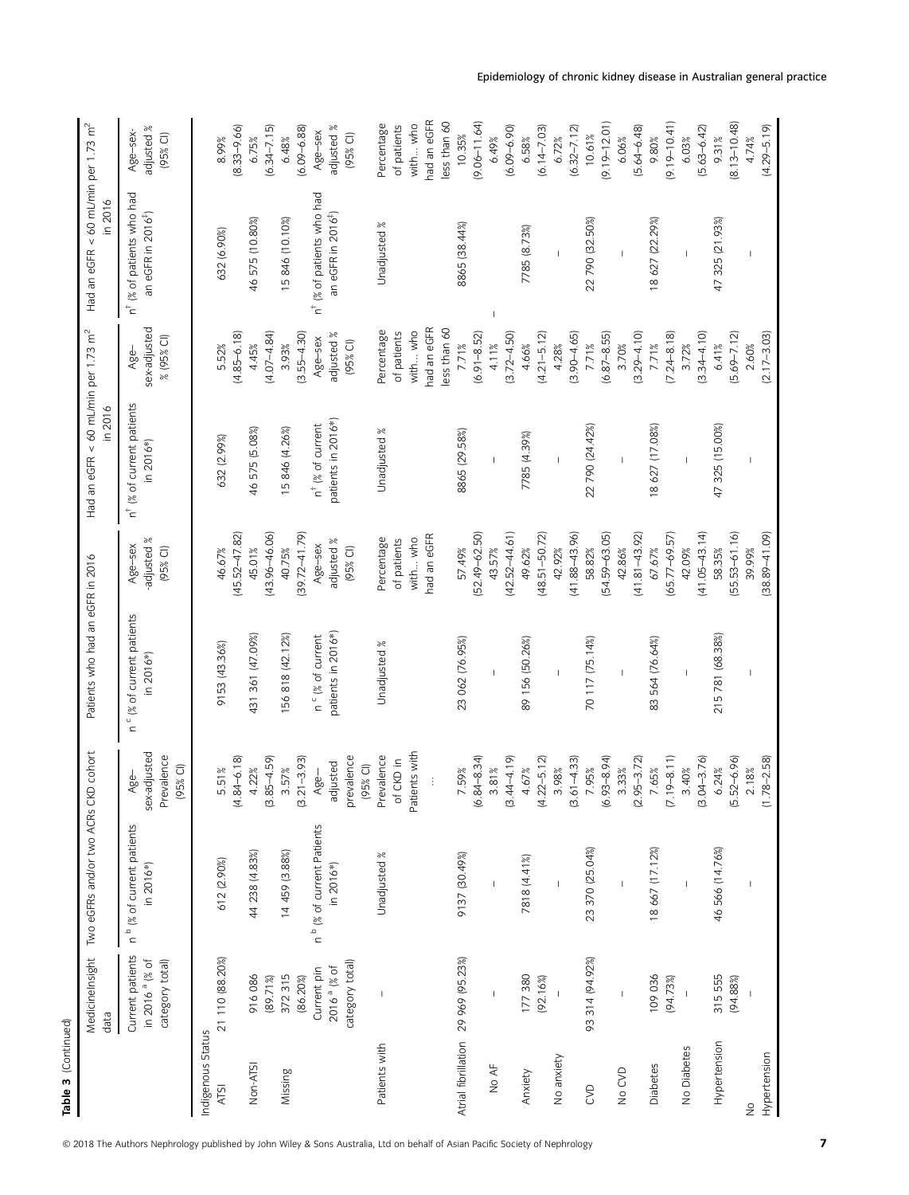| Table 3 (Continued)       |                                                                   |                                                    |                                                |                                                    |                                   |                                                    |                                    |                                                                         |                                     |
|---------------------------|-------------------------------------------------------------------|----------------------------------------------------|------------------------------------------------|----------------------------------------------------|-----------------------------------|----------------------------------------------------|------------------------------------|-------------------------------------------------------------------------|-------------------------------------|
|                           | Medicinelnsight<br>data                                           | Two eGFRs and/or two ACRs CK                       | D cohort                                       | Patients who had an eGFR in 2016                   |                                   | Had an eGFR < 60 mL/min per 1.73 $m^2$<br>in 2016  |                                    | Had an eGFR < 60 mL/min per 1.73 m <sup>2</sup><br>in 2016              |                                     |
|                           | Current patients<br>in 2016 <sup>a</sup> (% of<br>category total) | n <sup>b</sup> % of current patients<br>in 2016*)  | sex-adjusted<br>Prevalence<br>(95% CI)<br>Age- | n ° (% of current patients<br>in 2016*)            | adjusted %<br>Age-sex<br>(95% C)  | n <sup>†</sup> (% of current patients<br>n 2016*)  | sex-adjusted<br>% (95% CI)<br>Age- | (% of patients who had<br>an eGFR in 2016 <sup>#</sup> )<br>$\vec{a}^+$ | adjusted %<br>Age-sex-<br>(95% CI)  |
| Indigenous Status<br>ATSI | 21 110 (88.20%)                                                   | 612 (2.90%)                                        | 5.51%                                          | 9153 (43.36%)                                      | 46.67%                            | 632 (2.99%)                                        | 5.52%                              | 632 (6.90%)                                                             | 8.99%                               |
| Non-ATSI                  | 916 086                                                           | 44 238 (4.83%)                                     | $(4.84 - 6.18)$<br>4.22%                       | 431 361 (47.09%)                                   | $(45.52 - 47.82)$<br>45.01%       | 46 575 (5.08%)                                     | $(4.85 - 6.18)$<br>4.45%           | 46 575 (10.80%)                                                         | $(8.33 - 9.66)$<br>6.75%            |
| Missing                   | 372 315<br>(89.71%)                                               | 14 459 (3.88%)                                     | $(3.85 - 4.59)$<br>3.57%                       | 156 818 (42.12%)                                   | $(43.96 - 46.06)$<br>40.75%       | 15 846 (4.26%)                                     | $(4.07 - 4.84)$<br>3.93%           | 15 846 (10.10%)                                                         | $(6.34 - 7.15)$<br>6.48%            |
|                           | (86.20%)                                                          |                                                    | $(3.21 - 3.93)$                                |                                                    | $(39.72 - 41.79)$                 |                                                    | $(3.55 - 4.30)$                    |                                                                         | $(6.09 - 6.88)$                     |
|                           | category total)<br>2016 <sup>a</sup> (% of<br>Current pin         | n <sup>b</sup> (% of current Patients<br>in 2016*) | prevalence<br>adjusted<br>Age-                 | patients in 2016*)<br>n <sup>c</sup> (% of current | adjusted %<br>Age-sex<br>(95% C1) | patients in 2016*)<br>n <sup>†</sup> (% of current | adjusted %<br>Age-sex<br>(95% CI)  | n <sup>†</sup> (% of patients who had<br>an eGFR in 2016 <sup>#</sup> ) | adjusted %<br>Age-sex<br>$(95%$ CI) |
|                           |                                                                   |                                                    | (95% CI)                                       |                                                    |                                   |                                                    |                                    |                                                                         |                                     |
| Patients with             | $\overline{\phantom{a}}$                                          | Unadjusted %                                       | Prevalence                                     | Unadjusted %                                       | Percentage                        | Unadjusted %                                       | Percentage                         | Unadjusted %                                                            | Percentage                          |
|                           |                                                                   |                                                    | Patients with<br>CKD in<br>ð                   |                                                    | with who<br>of patients           |                                                    | with who<br>of patients            |                                                                         | with who<br>of patients             |
|                           |                                                                   |                                                    | Ì                                              |                                                    | had an eGFR                       |                                                    | had an eGFR                        |                                                                         | nad an eGFR                         |
|                           |                                                                   |                                                    |                                                |                                                    |                                   |                                                    | less than 60                       |                                                                         | ess than 60                         |
|                           | Atrial fibrillation 29 969 (95.23%)                               | 9137 (30.49%)                                      | $(6.84 - 8.34)$<br>7.59%                       | 23 062 (76.95%)                                    | $[52.49 - 62.50]$<br>57.49%       | 8865 (29.58%)                                      | $(6.91 - 8.52)$<br>7.71%           | 8865 (38.44%)                                                           | $(9.06 - 11.64)$<br>10.35%          |
| No AF                     |                                                                   |                                                    | 3.81%                                          |                                                    | 43.57%                            |                                                    | 4.11%                              |                                                                         | 6.49%                               |
|                           |                                                                   |                                                    | $(3.44 - 4.19)$                                |                                                    | $(42.52 - 44.61)$                 |                                                    | $(3.72 - 4.50)$                    |                                                                         | $(6.09 - 6.90)$                     |
| Anxiety                   | 177 380                                                           | 7818 (4.41%)                                       | 4.67%                                          | 89 156 (50.26%)                                    | 49.62%                            | 7785 (4.39%)                                       | 4.66%                              | 7785 (8.73%)                                                            | 6.58%                               |
| No anxiety                | (92.16%)<br>$\mathbf{I}$                                          | $\overline{1}$                                     | $22 - 5.12$<br>3.98%<br>$\vec{a}$              | $\overline{1}$                                     | $(48.51 - 50.72)$<br>42.92%       | $\mathsf I$                                        | $(4.21 - 5.12)$<br>4.28%           | $\overline{1}$                                                          | $(6.14 - 7.03)$<br>6.72%            |
|                           |                                                                   |                                                    | $(3.61 - 4.33)$                                |                                                    | $(41.88 - 43.96)$                 |                                                    | $(3.90 - 4.65)$                    |                                                                         | $(6.32 - 7.12)$                     |
| <b>S</b>                  | 93 314 (94.92%)                                                   | 23 370 (25.04%)                                    | $(6.93 - 8.94)$<br>7.95%                       | 70 117 (75.14%)                                    | $(54.59 - 63.05)$<br>58.82%       | 22 790 (24.42%)                                    | 7.71%                              | 22 790 (32.50%)                                                         | $(9.19 - 12.01)$<br>10.61%          |
| No CVD                    | $\overline{\phantom{a}}$                                          | $\mathbf I$                                        | 3.33%                                          | $\mathsf I$                                        | 42.86%                            | $\overline{\phantom{a}}$                           | $(6.87 - 8.55)$<br>3.70%           | $\mathbf{I}$                                                            | 6.06%                               |
|                           |                                                                   |                                                    | $(2.95 - 3.72)$                                |                                                    | $(41.81 - 43.92)$                 |                                                    | $(3.29 - 4.10)$                    |                                                                         | $(5.64 - 6.48)$                     |
| Diabetes                  | 109 036<br>(94.73%)                                               | 18 667 (17.12%)                                    | $(7.19 - 8.11)$<br>7.65%                       | 83 564 (76.64%)                                    | $(65.77 - 69.57)$<br>67.67%       | 18 627 (17.08%)                                    | $(7.24 - 8.18)$<br>7.71%           | 18 627 (22.29%)                                                         | $(9.19 - 10.41)$<br>9.80%           |
| No Diabetes               | $\mathbb{I}$                                                      |                                                    | 3.40%                                          |                                                    | 42.09%                            |                                                    | 3.72%                              |                                                                         | 6.03%                               |
|                           |                                                                   |                                                    | $(3.04 - 3.76)$                                |                                                    | $(41.05 - 43.14)$                 |                                                    | $(3.34 - 4.10)$                    |                                                                         | $(5.63 - 6.42)$                     |
| Hypertension              | 315 555                                                           | 46 566 (14.76%)                                    | 6.24%                                          | 215 781 (68.38%)                                   | 58.35%                            | 47 325 (15.00%)                                    | 6.41%                              | 47 325 (21.93%)                                                         | 9.31%                               |
|                           | (94.88%)                                                          |                                                    | $(5.52 - 6.96)$                                |                                                    | $[55.53 - 61.16]$                 |                                                    | $(5.69 - 7.12)$                    |                                                                         | $(8.13 - 10.48)$                    |
| $\frac{1}{2}$             |                                                                   |                                                    | 2.18%                                          |                                                    | 39.99%                            |                                                    | 2.60%                              |                                                                         | 4.74%                               |
| Hypertension              |                                                                   |                                                    | $(1.78 - 2.58)$                                |                                                    | $(38.89 - 41.09)$                 |                                                    | $(2.17 - 3.03)$                    |                                                                         | $(4.29 - 5.19)$                     |

© 2018 The Authors Nephrology published by John Wiley & Sons Australia, Ltd on behalf of Asian Pacific Society of Nephrology 7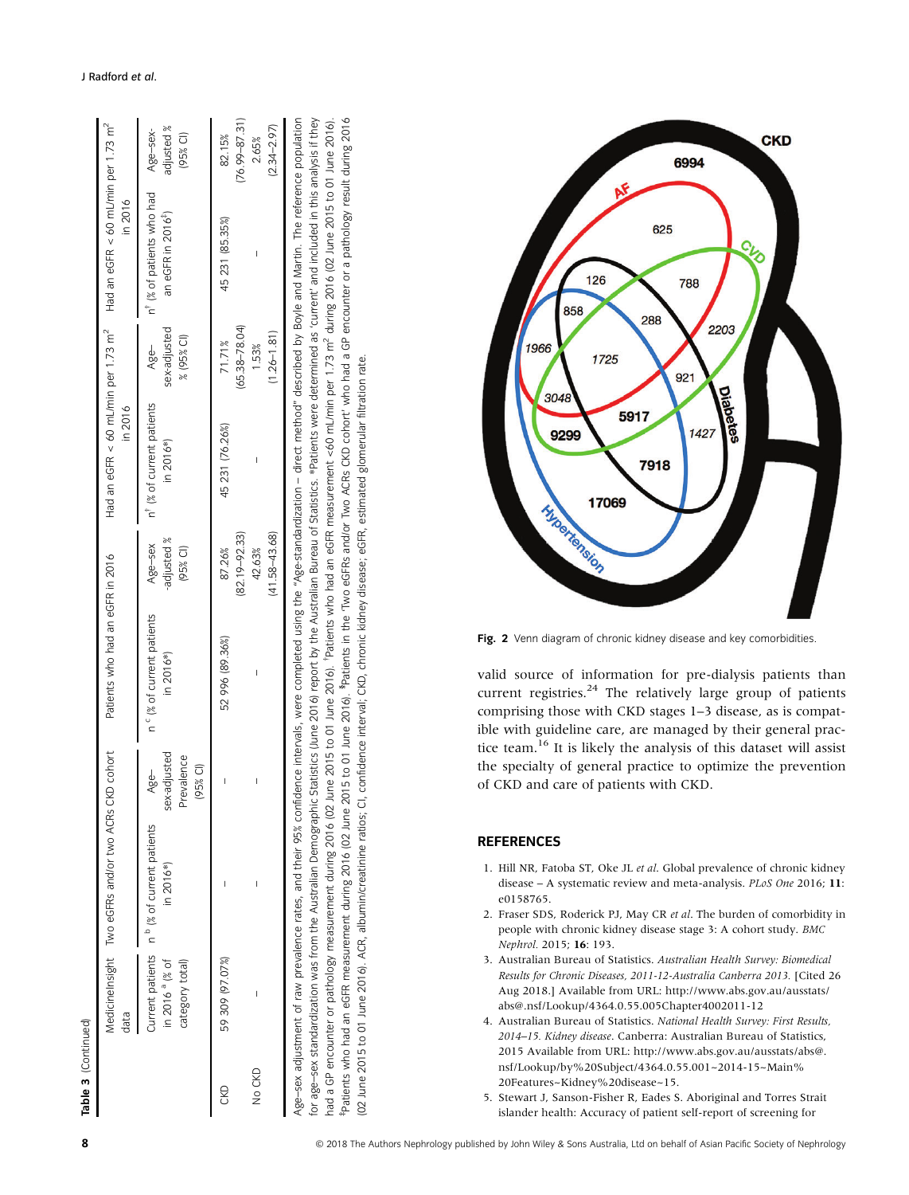| Table 3 (Continued) |                                              |                                                          |                                                |                                         |                                      |                                        |                                    |                                                                                                            |                                      |
|---------------------|----------------------------------------------|----------------------------------------------------------|------------------------------------------------|-----------------------------------------|--------------------------------------|----------------------------------------|------------------------------------|------------------------------------------------------------------------------------------------------------|--------------------------------------|
|                     | data                                         | Medicinelnsight Two eGFRs and/or two ACRs CKD cohort     |                                                | Patients who had an eGFR in 2016        |                                      | in 2016                                |                                    | Had an eGFR < 60 mL/min per 1.73 m <sup>2</sup> Had an eGFR < 60 mL/min per 1.73 m <sup>2</sup><br>in 2016 |                                      |
|                     | in 2016 <sup>a</sup> (% of<br>ategory total) | Jurnent patients n º (% of current patients<br>in 2016*) | sex-adjusted<br>Prevalence<br>(95% CI)<br>Age- | n " (% of current patients<br>in 2016*) | Age-sex<br>-adjusted %<br>$(95%$ CI) | n" (% of current patients<br>in 2016*) | sex-adjusted<br>% (95% CI)<br>Age- | n <sup>T</sup> (% of patients who had<br>an eGFR in 2016 <sup>*</sup> )                                    | adjusted %<br>Age-sex-<br>$(95%$ CI) |
| CKD                 | 59 309 (97.07%)                              | J                                                        | ı                                              | 52 996 (89.36%)                         | $(82.19 - 92.33)$<br>87.26%          | 45 231 (76.26%)                        | $(65.38 - 78.04)$<br>71.71%        | 45 231 (85.35%)                                                                                            | $(76.99 - 87.3$<br>82.15%            |

Patients who had an eGFR measurement during 2016 (02 June 2015 to 01 June 2016). <sup>\$</sup>Patients in the 'Two eGFRs and/or Two ACRs CKD cohort' who had a GP encounter or a pathology result during 2016 Age-sex adjustment of raw prevalence rates, and their 95% confidence intervals, were completed using the "Age-standardization – direct method" described by Boyle and Martin. The reference population ior age–sex standardization was from the Australian Demographic Statistics (June 2016) report by the Australian Bureau of Statistics. \*Patients were determined as 'current' and included in this analysis if they for age–sex standardization was from the Australian Demographic Statistics (June 2016) report by the Australian Bureau of Statistics. \*Patients were determined as 'current' and included in this analysis if they had a GP encounter or pathology measurement during 2016 (02 June 2015 to 01 June 2016). "Patients who had an eGFR measurement <60 mL/min per 1.73 m<sup>2</sup> during 2016 (02 June 2016). "Patients who had an eGFR measurement <60 m Age–sex adjustment of raw prevalence rates, and their 95% confidence intervals, were completed using the "Age-standardization – direct method" described by Boyle and Martin. The reference population had a GP encounter or pathology measurement during 2016 (02 June 2015 to 01 June 2016). "Patients who had an eGFR measurement <60 mL/min per 1.73 m<sup>2</sup> during 2015 (02 June 2016).<br><sup>Ap</sup>atients who had an eGFR measurement dur 02 June 2015 to 01 June 2016). ACR, albumin/creatinine ratios; CI, confidence interval; CKD, chronic kidney disease; eGFR, estimated glomerular filtration rate. (02 June 2015 to 01 June 2016). ACR, albumin/creatinine ratios; CI, confidence interval; CKD, chronic kidney disease; eGFR, estimated glomerular filtration rate.

42.63%

(41.58–43.68)

 $(41.58 - 43.68)$ 

No CKD – –– – 42.63%

 $\overline{1}$ 

 $\overline{1}$ 

**VO CKD** 

– 1.53%

 $\overline{1}$ 

(1.26–1.81)

 $(1.26 - 1.81)$ 1.53%

(76.99–87.31)

76.99-87.31

– 2.65%

2.65%

(2.34–2.97)

 $2.34 - 2.97$ 



Fig. 2 Venn diagram of chronic kidney disease and key comorbidities.

valid source of information for pre-dialysis patients than current registries. $24$  The relatively large group of patients comprising those with CKD stages 1–3 disease, as is compatible with guideline care, are managed by their general practice team.16 It is likely the analysis of this dataset will assist the specialty of general practice to optimize the prevention of CKD and care of patients with CKD.

### **REFERENCES**

- 1. Hill NR, Fatoba ST, Oke JL et al. Global prevalence of chronic kidney disease – A systematic review and meta-analysis. PLoS One 2016; 11: e0158765.
- 2. Fraser SDS, Roderick PJ, May CR et al. The burden of comorbidity in people with chronic kidney disease stage 3: A cohort study. BMC Nephrol. 2015; 16: 193.
- 3. Australian Bureau of Statistics. Australian Health Survey: Biomedical Results for Chronic Diseases, 2011-12-Australia Canberra 2013. [Cited 26 Aug 2018.] Available from URL: [http://www.abs.gov.au/ausstats/](http://www.abs.gov.au/ausstats/abs@.nsf/Lookup/4364.0.55.005Chapter4002011-12) [abs@.nsf/Lookup/4364.0.55.005Chapter4002011-12](http://www.abs.gov.au/ausstats/abs@.nsf/Lookup/4364.0.55.005Chapter4002011-12)
- 4. Australian Bureau of Statistics. National Health Survey: First Results, 2014–15. Kidney disease. Canberra: Australian Bureau of Statistics, 2015 Available from URL: [http://www.abs.gov.au/ausstats/abs@.](http://www.abs.gov.au/ausstats/abs@.nsf/Lookup/by%20Subject/4364.0.55.001~2014-15~Main%20Features~Kidney%20disease~15) [nsf/Lookup/by%20Subject/4364.0.55.001~2014-15~Main%](http://www.abs.gov.au/ausstats/abs@.nsf/Lookup/by%20Subject/4364.0.55.001~2014-15~Main%20Features~Kidney%20disease~15) [20Features~Kidney%20disease~15](http://www.abs.gov.au/ausstats/abs@.nsf/Lookup/by%20Subject/4364.0.55.001~2014-15~Main%20Features~Kidney%20disease~15).
- 5. Stewart J, Sanson-Fisher R, Eades S. Aboriginal and Torres Strait islander health: Accuracy of patient self-report of screening for